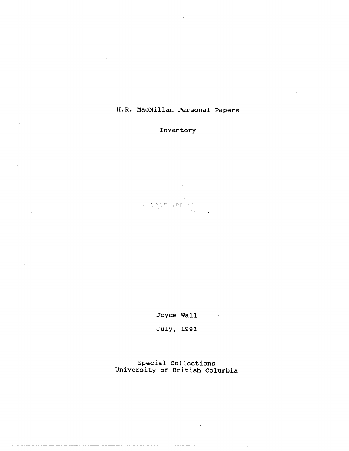# H.R. MacMillan Personal Papers

Inventory

an Sayan a<mark>sa</mark> karibudu.<br>Mula bara

 $\mathcal{Q}^{(k)}$ 

Joyce Wall

July, 1991

Special Collections University of British Columbia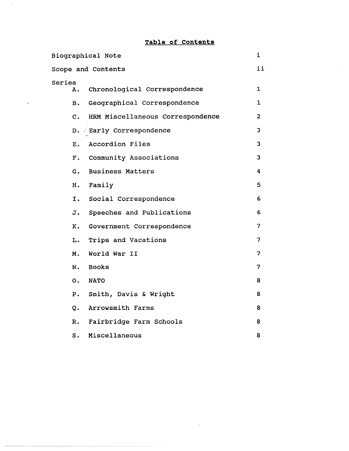# **Table of Contents**

|                | Biographical Note                | i              |
|----------------|----------------------------------|----------------|
|                | Scope and Contents               | ii             |
| Series<br>Α.   | Chronological Correspondence     | $\mathbf 1$    |
| в.             | Geographical Correspondence      | 1              |
| $\mathbf{c}$ . | HRM Miscellaneous Correspondence | $\overline{2}$ |
|                | D. Early Correspondence          | 3              |
| $E_{\star}$    | Accordion Files                  | 3              |
| F <sub>z</sub> | Community Associations           | 3              |
| G.             | <b>Business Matters</b>          | 4              |
| H.             | Family                           | 5              |
| Ι.             | Social Correspondence            | 6              |
| J.             | Speeches and Publications        | 6              |
| <b>K.</b>      | Government Correspondence        | 7              |
| $\mathbf{L}$ . | Trips and Vacations              | 7              |
| M.             | World War II                     | 7              |
| N.             | <b>Books</b>                     | 7              |
| $\mathsf{o}$ . | <b>NATO</b>                      | 8              |
| $P_{\bullet}$  | Smith, Davis & Wright            | 8              |
| $Q_{\star}$    | Arrowsmith Farms                 | 8              |
| R.             | Fairbridge Farm Schools          | 8              |
| S.             | Miscellaneous                    | 8              |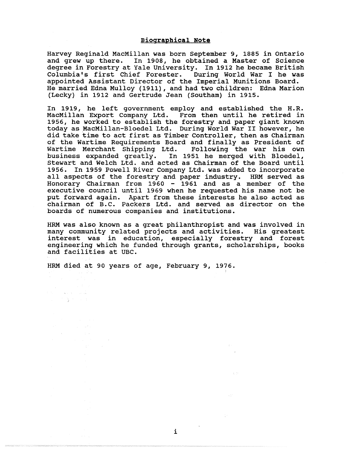### **Biographical Note**

Harvey Reginald MacMillan was born September 9, 1885 in Ontario and grew up there. In 1908, he obtained a Master of Science degree in Forestry at Yale University. In 1912 he became British Columbia's first Chief Forester. During World War I he was appointed Assistant Director of the Imperial Munitions Board. He married Edna Mulloy (1911), and had two children: Edna Marion (Lecky) in 1912 and Gertrude Jean (Southam) in 1915 .

In 1919, he left government employ and established the H.R. MacMillan Export Company Ltd. From then until he retired in 1956, he worked to establish the forestry and paper giant known today as MacMillan-Bloedel Ltd. During World War II however, he did take time to act first as Timber Controller, then as Chairman of the Wartime Requirements Board and finally as President of Wartime Merchant Shipping Ltd. Following the war his own business expanded greatly. In 1951 he merged with Bloedel, Stewart and Welch Ltd. and acted as Chairman of the Board until 1956. In 1959 Powell River Company Ltd. was added to incorporate all aspects of the forestry and paper industry. HRM served as Honorary Chairman from  $1960 - 1961$  and as a member of the executive council until 1969 when he requested his name not be put forward again. Apart from these interests he also acted as chairman of B.C. Packers Ltd. and served as director on the boards of numerous companies and institutions .

HRM was also known as a great philanthropist and was involved in many community related projects and activities. His greatest interest was in education, especially forestry and forest engineering which he funded through grants, scholarships, books and facilities at UBC.

HRM died at 90 years of age, February 9, 1976.

 $V(\mathcal{M})$  is a set  $V(\mathcal{M})$  and  $\mathcal{M}$ 医心内骨 医心脏

i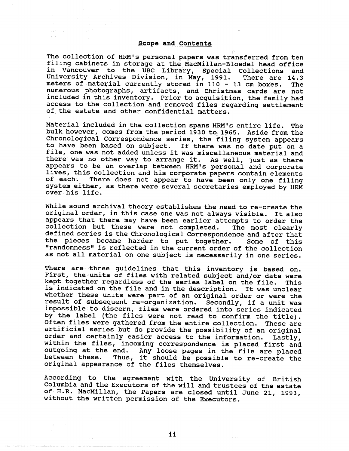#### **Scope and Contents,**

 $\label{eq:1} \mathcal{L}_{\mathcal{A}}(\mathcal{D}^{\mathcal{A}}_{\mathcal{A}}) = \mathcal{L}_{\mathcal{A}}(\mathcal{A}^{\mathcal{A}}_{\mathcal{A}}) = \mathcal{L}_{\mathcal{A}}(\mathcal{A}^{\mathcal{A}}_{\mathcal{A}})$ 

The collection of HRM's personal papers was transferred from ten filing cabinets in storage at the MacMillan-Bloedel head office in Vancouver to the UBC Library, Special Collections and<br>University Archives Division, in May, 1991. There are 14.3 University Archives Division, in May, 1991. There are 14.3 meters of material currently stored in 110 - 13 cm boxes. The numerous photographs, artifacts, and Christmas cards are not included in this inventory. Prior to acquisition, the family had access to the collection and removed files regarding settlement of the estate and other confidential matters .

Material included in the collection spans HRM's entire life. The bulk however, comes from the period 1930 to 1965. Aside from the Chronological Correspondence series, the filing system appears to have been based on subject. If there was no date put on a file, one was not added unless it was miscellaneous material and there was no other way to arrange it. As well, just as there appears to be an overlap between HRM's personal and corporate lives, this collection and his corporate papers contain elements of each. There does not appear to have been only one filing system either, as there were several secretaries employed by HRM over his life.

While sound archival theory establishes the need to re-create the original order, in this case one was not always visible. It also appears that there may have been earlier attempts to order the collection but these were not completed. The most clearly defined series is the Chronological Correspondence and after that the pieces became harder to put together. Some of this "randomness" is reflected in the current order of the collection as not all material on one subject is necessarily in one series.

There are three guidelines that this inventory is based on. First, the units of files with related subject and/or date were kept together regardless of the series label on the file. This is indicated on the file and in the description. It was unclear whether these units were part of an original order or were the result of subsequent re-organization. Secondly, if a unit was impossible to discern, files were ordered into series indicated by the label (the files were not read to confirm the title) . Often files were gathered from the entire collection. These are artificial series but do provide the possibility of an original order and certainly easier access to the information. Lastly, within the files, incoming correspondence is placed first and outgoing at the end. Any loose pages in the file are placed between these. Thus, it should be possible to re-create the original appearance of the files themselves .

According to the agreement with the University of British Columbia and the Executors of the will and trustees of the estate of H.R. MacMillan, the Papers are closed until June 21, 1993, without the written permission of the Executors .

ii

 $\mathcal{R}(\rho,\kappa)$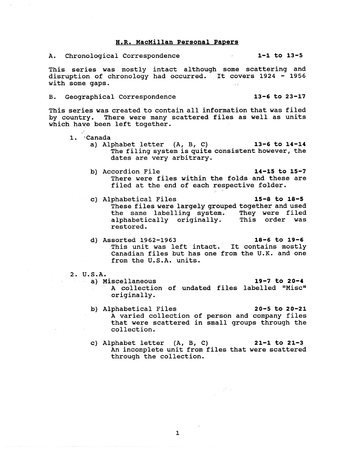#### **H .R . MacMillan Personal Paper s**

A. Chronological Correspondence 1-1 to 13-5

This series was mostly intact although some scattering and disruption of chronology had occurred. It covers 1924 - 1956 with some gaps .  $\frac{1}{2}$ 

B. Geographical Correspondence 13-6 to 23-17

This series was created to contain all information that was filed by country. There were many scattered files as well as units which have been left together.

- 1. Canada
	- a) Alphabet letter  $(A, B, C)$  13-6 to 14-14 The filing system is quite consistent however, the dates are very arbitrary.
	- b) Accordion File 14-15 to 15-7 There were files within the folds and these are filed at the end of each respective folder.
	- c) Alphabetical Files 15-8 to 18-5 These files were largely grouped together and used<br>the same labelling system. They were filed the same labelling system. They were filed alphabetically originally. This order was restored .
	- d) Assorted 1962-1963 18-6 to 19-6 This unit was left intact. It contains mostly Canadian files but has one from the U.K. and one from the U.S.A. units.
- 2. U.S.A.

**originally .**

**a)** Miscellaneous **19-7 to 20-4 A collection of undated files labelled "Misc "**

 $\frac{1}{2} \int_{0}^{2\pi} \left( \frac{1}{2} \right) \, d\tau$ 

- b) Alphabetical Files 20-5 to 20-21 A varied collection of person and company files that were scattered in small groups through the collection .
- c) Alphabet letter  $(A, B, C)$  21-1 to 21-3 An incomplete unit from files that were scattered through the collection.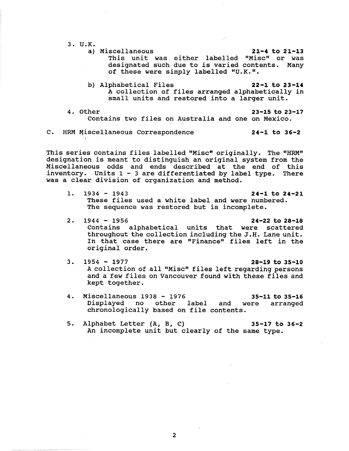$3. U.K.$ 

- **a) Miscellaneous 21-4 to 21-1 <sup>3</sup> This unit was either labelled "Misc" or was designated such due to is varied contents . Many of these were simply labelled "U.K ." .**
- b) Alphabetical Files 22-1 to 23-14 A collection of files arranged alphabetically in small units and restored into a larger unit.

4. Other 23-15 to 23-17 Contains two files on Australia and one on Mexico .

C. HRM Miscellaneous Correspondence 24-1 to 36-2

This series contains files labelled "Misc" originally. The "HRM" designation is meant to distinguish an original system from the Miscellaneous odds and ends described at the end of this inventory. Units  $1 - 3$  are differentiated by label type. There was a clear division of organization and method.

- 1. 1934 1943 **24-1 to 24-2 <sup>1</sup> These files used a white label and were numbered . The sequence was restored but is incomplete .**
- 2. 1944 1956 **24-22 to 28-18 Contains** alphabetical units that were scattered **throughout the collection including the J .H . Lane unit . In that case there are "Finance" files left in the original order .**
- 3. 1954 1977 **28-19 to 35-1 <sup>0</sup> A collection of all "Misc" files left regarding persons** and a few files on Vancouver found with these files and **kept together .**
- 4. Miscellaneous 1938 1976 35-11 to 35-16 Displayed no other label and were arranged chronologically based on file contents .
- 5. Alphabet Letter (A, B, C) 35-17 to 36-2 An incomplete unit but clearly of the same type.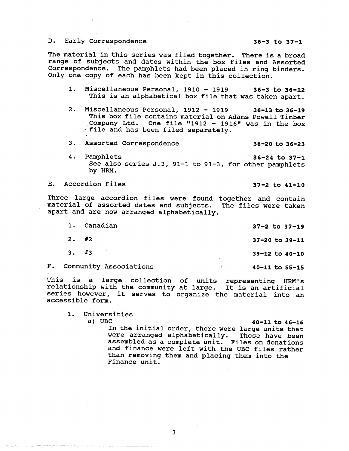### D. Early Correspondence 36-3 to 37-1

The material in this series was filed together. There is a broad range of subjects and dates within the box files and Assorted Correspondence. The pamphlets had been placed in ring binders. Only one copy of each has been kept in this collection.

- 1. Miscellaneous Personal, 1910 1919 36-3 to 36-12 This is an alphabetical box file that was taken apart.
- 2. Miscellaneous Personal, 1912 1919 36-13 to 36-19 This box file contains material on Adams Powell Timber Company Ltd. One file "1912 - 1916" was in the box • file and has been filed separately .
- 3. Assorted Correspondence 36-20 to 36-23
- **4. Pamphlets 36-24 to 37-1 See also series J .3, 91-i to 91-3, for other pamphlets by HRM .**

E. Accordion Files 37-2 to 41-10

Three large accordion files were found together and contain material of assorted dates and subjects. The files were taken apart and are now arranged alphabetically.

| 1. | Canadian                  | $37 - 2$ to $37 - 19$  |
|----|---------------------------|------------------------|
|    | $2.$ #2                   | $37 - 20$ to $39 - 11$ |
|    | 3. #3                     | $39-12$ to $40-10$     |
|    | F. Community Associations | $40 - 11$ to $55 - 15$ |

This is a large collection of units representing HRM's relationship with the community at large. It is an artificial series however, it serves to organize the material into an accessible form .

- 1. Universities<br>a) UBC
	-

**a) UBC 40-11 to 46-16 In the initial order, there were large units tha t were arranged alphabetically . These have been assembled as a complete unit . Files on donations** and finance were left with the UBC files rather than removing them and placing them into the Finance unit.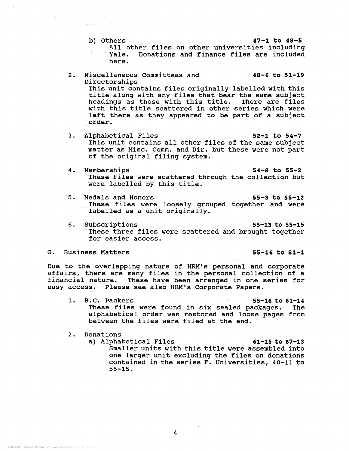- b) Others **47-1 to 48-5** All other files on other universities including Yale. Donations and finance files are included here .
- 2. Miscellaneous Committees and 48-6 to 51-19 Directorships This unit contains files originally labelled with this title along with any files that bear the same subject headings as those with this title. There are files with this title scattered in other series which were left there as they appeared to be part of a subject order .
- 3. Alphabetical Files 52-1 to 54-7 This unit contains all other files of the same subject matter as Misc. Comm. and Dir. but these were not part of the original filing system .
- 4. Memberships 34-8 to 55-2 These files were scattered through the collection but were labelled by this title.
- 5. Medals and Honors 55-3 to 55-12 These files were loosely grouped together and were labelled as a unit originally.
- 6. Subscriptions 55-13 to 55-15 These three files were scattered and brought together for easier access .
- G. Business Matters **6. 2008** 120 and 55-16 to 81-1

Due to the overlapping nature of HRM's personal and corporate affairs, there are many files in the personal collection of a financial nature. These have been arranged in one series for easy access. Please see also HRM's Corporate Papers.

- 1. B.C. Packers  $55-16$  to  $61-14$ These files were found in six sealed packages. The alphabetical order was restored and loose pages from between the files were filed at the end.
- 2. Donations
	- a) Alphabetical Files 61-15 to 67-13 Smaller units with this title were assembled into one larger unit excluding the files on donations contained in the series F. Universities, 40-11 to  $55 - 15$ .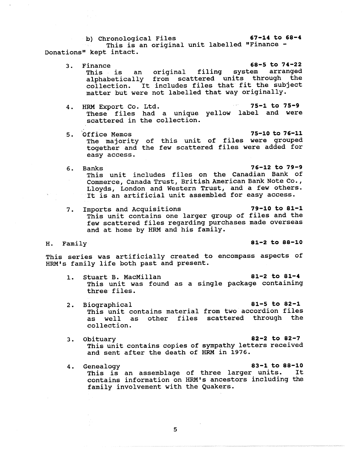b) Chronological Files 67-14 to 68-4

This is an original unit labelled "Finance -Donations" kept intact.

- 3. Finance 68-5 to 74-22 This is an original filing system arranged alphabetically from scattered units through the collection. It includes files that fit the subject matter but were not labelled that way originally .
	- 4. HRM Export Co. Ltd. 25-1 to 75-9 These files had a unique yellow label and were scattered in the collection.
	- 5. Office Memos 75-10 to 76-11 The majority of this unit of files were grouped together and the few scattered files were added for easy access .
- **6. Banks 76-12 to 79-9 This unit includes files on the Canadian Bank of Commerce, Canada Trust, British American Bank Note Co . , Lloyds, London and Western Trust, and a few others . It is an artificial unit assembled for easy access .**
- 7. Imports and Acquisitions 79-10 to 81-1 This unit contains one larger group of files and the few scattered files regarding purchases made overseas and at home by HRM and his family.

**H . Family 81-2 to 88-10**

This series was artificially created to encompass aspects of HRM's family life both past and present.

- 1. Stuart B. MacMillan 81-2 to 81-4 This unit was found as a single package containing three files .
- 2. Biographical 81-5 to 82-1 This unit contains material from two accordion files as well as other files scattered through the collection .
- 3. Obituary 82-2 to 82-7 This unit contains copies of sympathy letters received and sent after the death of HRM in 1976.
- 4. Genealogy 83-1 to 88-10 This is an assemblage of three larger units . It contains information on HRM's ancestors including the family involvement with the Quakers .

5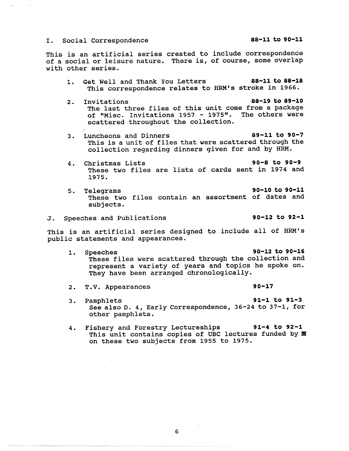### I. Social Correspondence 88-11 to 90-11

This is an artificial series created to include correspondence of a social or leisure nature. There is, of course, some overlap with other series .

- 1. Get Well and Thank You Letters 88-11 to 88-18 This correspondence relates to HRM's stroke in 1966.
- 2. Invitations 88-19 to 89-10 The last three files of this unit come from a package of "Misc. Invitations 1957 - 1975". The others were scattered throughout the collection .
- 3. Luncheons and Dinners 89-11 to 90-7 This is a unit of files that were scattered through the collection regarding dinners given for and by HRM .
- 4. Christmas Lists 90-8 to 90- 9 These two files are lists of cards sent in 1974 and 1975 .
- **5. Telegrams 90-10 to 90-11 These two files contain an assortment of dates and subjects .**

J. Speeches and Publications 90-12 to 92-1

This is an artificial series designed to include all of HRM's public statements and appearances .

- 1. Speeches 90-12 to 90-16 These files were scattered through the collection and represent a variety of years and topics he spoke on. They have been arranged chronologically.
- 2. T.V. Appearances 90-17
	-

- **3. Pamphlets 91-1 to 91- <sup>3</sup>** See also D. 4, Early Correspondence, 36-24 to 37-1, for **other pamphlets .**
- 4. Fishery and Forestry Lectureships 91-4 to 92-1 This unit contains copies of UBC lectures funded by  $\mathbb E$ on these two subjects from 1955 to 1975 .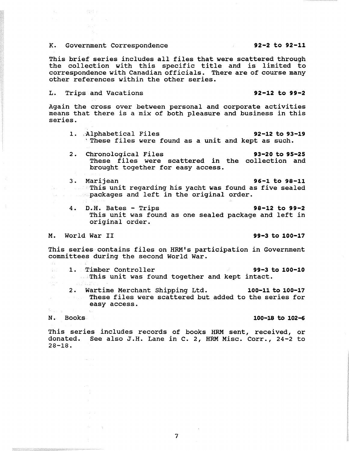## K. Government Correspondence 192-2 to 92-11

This brief series includes all files that were scattered through the collection with this specific title and is limited to correspondence with Canadian officials. There are of course many other references within the other series.

# L . Trips and Vacations 92-12 to 99-2

网络经常

Again the cross over between personal and corporate activities means that there is a mix of both pleasure and business in this series .

- 1. Alphabetical Files 92-12 to 93-19 'These files were found as a unit and kept as such .
- 2. Chronological Files 93-20 to 95-25 These files were scattered in the collection and brought together for easy access .
- 3. Marijean 96-1 to 98-11 **This unit regarding his yacht was found as five sealed Example 20 Sepackages and left in the original order.** 
	- 4. D.H. Bates Trips 38-12 to 99-2 This unit was found as one sealed package and left in original order .

M. World War II 99-3 to 100-17

This series contains files on HRM's participation in Government committees during the second World War .

- $\frac{1}{2} \left( \frac{1}{2} \right)^2$  . 1. Timber Controller 1. 1. 100-10
	- $\Box$  This unit was found together and kept intact.
		- 2. Wartime Merchant Shipping Ltd. 100-11 to 100-17 These files were scattered but added to the series for easy access .

-33

 $\pm$  1. a erak<br>195

# **N . Books 100-18 to 102-6**

This series includes records of books HRM sent, received, or donated. See also J.H. Lane in C. 2, HRM Misc. Corr., 24-2 to  $28 - 18$ .